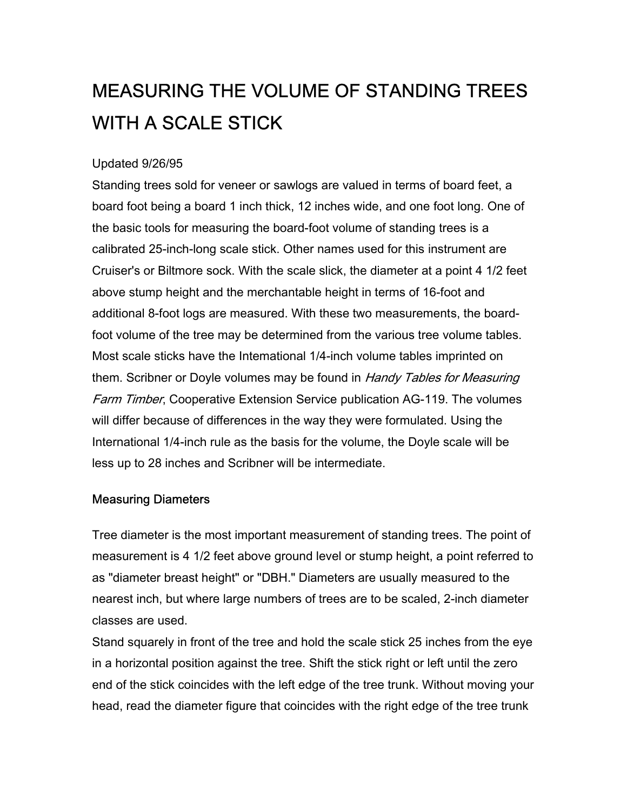## MEASURING THE VOLUME OF STANDING TREES WITH A SCALE STICK

## Updated 9/26/95

Standing trees sold for veneer or sawlogs are valued in terms of board feet, a board foot being a board 1 inch thick, 12 inches wide, and one foot long. One of the basic tools for measuring the board-foot volume of standing trees is a calibrated 25-inch-long scale stick. Other names used for this instrument are Cruiser's or Biltmore sock. With the scale slick, the diameter at a point 4 1/2 feet above stump height and the merchantable height in terms of 16-foot and additional 8-foot logs are measured. With these two measurements, the boardfoot volume of the tree may be determined from the various tree volume tables. Most scale sticks have the Intemational 1/4-inch volume tables imprinted on them. Scribner or Doyle volumes may be found in Handy Tables for Measuring Farm Timber, Cooperative Extension Service publication AG-119. The volumes will differ because of differences in the way they were formulated. Using the International 1/4-inch rule as the basis for the volume, the Doyle scale will be less up to 28 inches and Scribner will be intermediate.

## Measuring Diameters

Tree diameter is the most important measurement of standing trees. The point of measurement is 4 1/2 feet above ground level or stump height, a point referred to as "diameter breast height" or "DBH." Diameters are usually measured to the nearest inch, but where large numbers of trees are to be scaled, 2-inch diameter classes are used.

Stand squarely in front of the tree and hold the scale stick 25 inches from the eye in a horizontal position against the tree. Shift the stick right or left until the zero end of the stick coincides with the left edge of the tree trunk. Without moving your head, read the diameter figure that coincides with the right edge of the tree trunk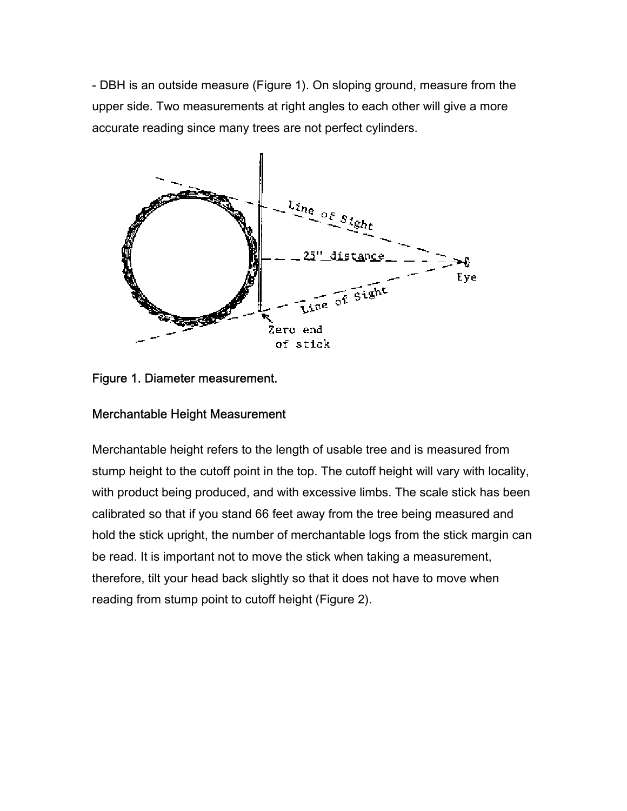- DBH is an outside measure (Figure 1). On sloping ground, measure from the upper side. Two measurements at right angles to each other will give a more accurate reading since many trees are not perfect cylinders.



Figure 1. Diameter measurement.

## Merchantable Height Measurement

Merchantable height refers to the length of usable tree and is measured from stump height to the cutoff point in the top. The cutoff height will vary with locality, with product being produced, and with excessive limbs. The scale stick has been calibrated so that if you stand 66 feet away from the tree being measured and hold the stick upright, the number of merchantable logs from the stick margin can be read. It is important not to move the stick when taking a measurement, therefore, tilt your head back slightly so that it does not have to move when reading from stump point to cutoff height (Figure 2).